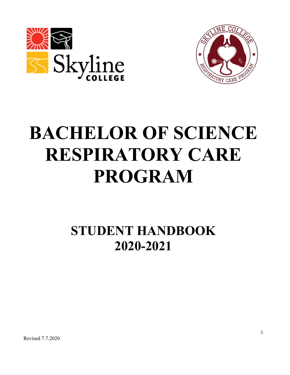



# **BACHELOR OF SCIENCE RESPIRATORY CARE PROGRAM**

# **STUDENT HANDBOOK 2020-2021**

Revised 7.7.2020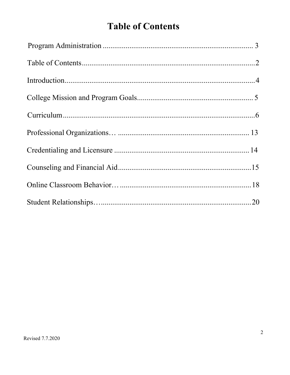# **Table of Contents**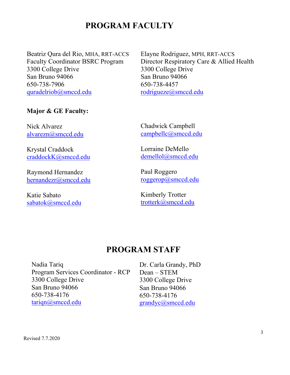# **PROGRAM FACULTY**

Beatriz Qura del Rio, MHA, RRT-ACCS Faculty Coordinator BSRC Program 3300 College Drive San Bruno 94066 650-738-7906 [quradelriob@smccd.edu](mailto:quradelriob@smccd.edu)

#### **Major & GE Faculty:**

Nick Alvarez [alvarezn@smccd.edu](mailto:alvarezn@smccd.edu)

Krystal Craddock [craddockK@smccd.edu](mailto:craddockK@smccd.edu)

Raymond Hernandez [hernandezr@smccd.edu](mailto:hernandezr@smccd.edu)

Katie Sabato sabatok@smccd.edu Elayne Rodriguez, MPH, RRT-ACCS Director Respiratory Care & Allied Health 3300 College Drive San Bruno 94066 650-738-4457 [rodrigueze@smccd.edu](mailto:rodrigueze@smccd.edu)

Chadwick Campbell [campbellc@smccd.edu](mailto:campbellc@smccd.edu)

Lorraine DeMello [demellol@smccd.edu](mailto:demellol@smccd.edu)

Paul Roggero [roggerop@smccd.edu](mailto:roggerop@smccd.edu)

Kimberly Trotter trotterk@smccd.edu

# **PROGRAM STAFF**

Nadia Tariq Program Services Coordinator - RCP 3300 College Drive San Bruno 94066 650-738-4176 [tariqn@smccd.edu](mailto:tariqn@smccd.edu)

Dr. Carla Grandy, PhD Dean – STEM 3300 College Drive San Bruno 94066 650-738-4176 [grandyc@smccd.edu](mailto:grandyc@smccd.edu)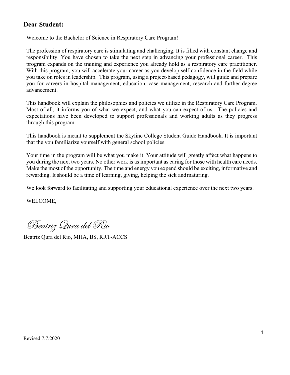#### **Dear Student:**

Welcome to the Bachelor of Science in Respiratory Care Program!

The profession of respiratory care is stimulating and challenging. It is filled with constant change and responsibility. You have chosen to take the next step in advancing your professional career. This program expands on the training and experience you already hold as a respiratory care practitioner. With this program, you will accelerate your career as you develop self-confidence in the field while you take on roles in leadership. This program, using a project-based pedagogy, will guide and prepare you for careers in hospital management, education, case management, research and further degree advancement.

This handbook will explain the philosophies and policies we utilize in the Respiratory Care Program. Most of all, it informs you of what we expect, and what you can expect of us. The policies and expectations have been developed to support professionals and working adults as they progress through this program.

This handbook is meant to supplement the Skyline College Student Guide Handbook. It is important that the you familiarize yourself with general school policies.

Your time in the program will be what you make it. Your attitude will greatly affect what happens to you during the next two years. No other work is as important as caring for those with health care needs. Make the most of the opportunity. The time and energy you expend should be exciting, informative and rewarding. It should be a time of learning, giving, helping the sick andmaturing.

We look forward to facilitating and supporting your educational experience over the next two years.

WELCOME,

Beatriz Qura del Rio

Beatriz Qura del Rio, MHA, BS, RRT-ACCS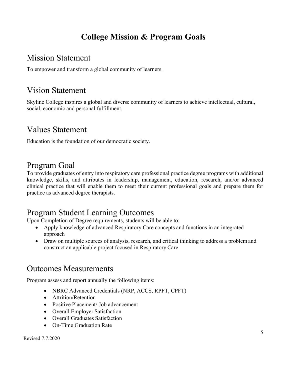# **College Mission & Program Goals**

# Mission Statement

To empower and transform a global community of learners.

# Vision Statement

Skyline College inspires a global and diverse community of learners to achieve intellectual, cultural, social, economic and personal fulfillment.

# Values Statement

Education is the foundation of our democratic society.

# Program Goal

To provide graduates of entry into respiratory care professional practice degree programs with additional knowledge, skills, and attributes in leadership, management, education, research, and/or advanced clinical practice that will enable them to meet their current professional goals and prepare them for practice as advanced degree therapists.

# Program Student Learning Outcomes

Upon Completion of Degree requirements, students will be able to:

- Apply knowledge of advanced Respiratory Care concepts and functions in an integrated approach
- Draw on multiple sources of analysis, research, and critical thinking to address a problem and construct an applicable project focused in Respiratory Care

# Outcomes Measurements

Program assess and report annually the following items:

- NBRC Advanced Credentials (NRP, ACCS, RPFT, CPFT)
- Attrition/Retention
- Positive Placement/ Job advancement
- Overall Employer Satisfaction
- Overall Graduates Satisfaction
- On-Time Graduation Rate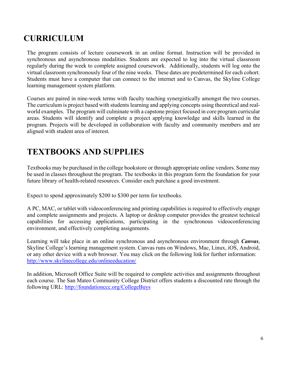# **CURRICULUM**

The program consists of lecture coursework in an online format. Instruction will be provided in synchronous and asynchronous modalities. Students are expected to log into the virtual classroom regularly during the week to complete assigned coursework. Additionally, students will log onto the virtual classroom synchronously four of the nine weeks. These dates are predetermined for each cohort. Students must have a computer that can connect to the internet and to Canvas, the Skyline College learning management system platform.

Courses are paired in nine-week terms with faculty teaching synergistically amongst the two courses. The curriculum is project based with students learning and applying concepts using theoretical and realworld examples. The program will culminate with a capstone project focused in core program curricular areas. Students will identify and complete a project applying knowledge and skills learned in the program. Projects will be developed in collaboration with faculty and community members and are aligned with student area of interest.

# **TEXTBOOKS AND SUPPLIES**

Textbooks may be purchased in the college bookstore or through appropriate online vendors. Some may be used in classes throughout the program. The textbooks in this program form the foundation for your future library of health-related resources. Consider each purchase a good investment.

Expect to spend approximately \$200 to \$300 per term for textbooks.

A PC, MAC, or tablet with videoconferencing and printing capabilities is required to effectively engage and complete assignments and projects. A laptop or desktop computer provides the greatest technical capabilities for accessing applications, participating in the synchronous videoconferencing environment, and effectively completing assignments.

Learning will take place in an online synchronous and asynchronous environment through *Canvas*, Skyline College's learning management system. Canvas runs on Windows, Mac, Linux, iOS, Android, or any other device with a web browser. You may click on the following linkfor further information: <http://www.skylinecollege.edu/onlineeducation/>

In addition, Microsoft Office Suite will be required to complete activities and assignments throughout each course. The San Mateo Community College District offers students a discounted rate through the following URL:<http://foundationccc.org/CollegeBuys>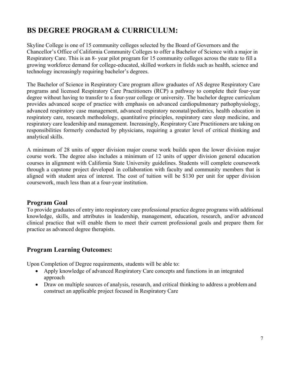# **BS DEGREE PROGRAM & CURRICULUM:**

Skyline College is one of 15 community colleges selected by the Board of Governors and the Chancellor's Office of California Community Colleges to offer a Bachelor of Science with a major in Respiratory Care. This is an 8- year pilot program for 15 community colleges across the state to fill a growing workforce demand for college-educated, skilled workers in fields such as health, science and technology increasingly requiring bachelor's degrees.

The Bachelor of Science in Respiratory Care program allow graduates of AS degree Respiratory Care programs and licensed Respiratory Care Practitioners (RCP) a pathway to complete their four-year degree without having to transfer to a four-year college or university. The bachelor degree curriculum provides advanced scope of practice with emphasis on advanced cardiopulmonary pathophysiology, advanced respiratory case management, advanced respiratory neonatal/pediatrics, health education in respiratory care, research methodology, quantitative principles, respiratory care sleep medicine, and respiratory care leadership and management. Increasingly, Respiratory Care Practitioners are taking on responsibilities formerly conducted by physicians, requiring a greater level of critical thinking and analytical skills.

A minimum of 28 units of upper division major course work builds upon the lower division major course work. The degree also includes a minimum of 12 units of upper division general education courses in alignment with California State University guidelines. Students will complete coursework through a capstone project developed in collaboration with faculty and community members that is aligned with student area of interest. The cost of tuition will be \$130 per unit for upper division coursework, much less than at a four-year institution.

#### **Program Goal**

To provide graduates of entry into respiratory care professional practice degree programs with additional knowledge, skills, and attributes in leadership, management, education, research, and/or advanced clinical practice that will enable them to meet their current professional goals and prepare them for practice as advanced degree therapists.

#### **Program Learning Outcomes:**

Upon Completion of Degree requirements, students will be able to:

- Apply knowledge of advanced Respiratory Care concepts and functions in an integrated approach
- Draw on multiple sources of analysis, research, and critical thinking to address a problem and construct an applicable project focused in Respiratory Care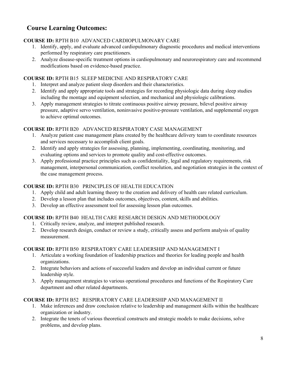### **Course Learning Outcomes:**

#### **COURSE ID:** RPTH B10 ADVANCED CARDIOPULMONARY CARE

- 1. Identify, apply, and evaluate advanced cardiopulmonary diagnostic procedures and medical interventions performed by respiratory care practitioners.
- 2. Analyze disease-specific treatment options in cardiopulmonary and neurorespiratory care and recommend modifications based on evidence-based practice.

#### **COURSE ID:** RPTH B15 SLEEP MEDICINE AND RESPIRATORY CARE

- 1. Interpret and analyze patient sleep disorders and their characteristics.
- 2. Identify and apply appropriate tools and strategies for recording physiologic data during sleep studies including the montage and equipment selection, and mechanical and physiologic calibrations.
- 3. Apply management strategies to titrate continuous positive airway pressure, bilevel positive airway pressure, adaptive servo ventilation, noninvasive positive-pressure ventilation, and supplemental oxygen to achieve optimal outcomes.

#### **COURSE ID:** RPTH B20 ADVANCED RESPIRATORY CASE MANAGEMENT

- 1. Analyze patient case management plans created by the healthcare delivery team to coordinate resources and services necessary to accomplish client goals.
- 2. Identify and apply strategies for assessing, planning, implementing, coordinating, monitoring, and evaluating options and services to promote quality and cost-effective outcomes.
- 3. Apply professional practice principles such as confidentiality, legal and regulatory requirements, risk management, interpersonal communication, conflict resolution, and negotiation strategies in the context of the case management process.

#### **COURSE ID:** RPTH B30 PRINCIPLES OF HEALTH EDUCATION

- 1. Apply child and adult learning theory to the creation and delivery of health care related curriculum.
- 2. Develop a lesson plan that includes outcomes, objectives, content, skills and abilities.
- 3. Develop an effective assessment tool for assessing lesson plan outcomes.

#### **COURSE ID:** RPTH B40 HEALTH CARE RESEARCH DESIGN AND METHODOLOGY

- 1. Critically review, analyze, and interpret published research.
- 2. Develop research design, conduct or review a study, critically assess and perform analysis of quality measurement.

#### **COURSE ID:** RPTH B50 RESPIRATORY CARE LEADERSHIP AND MANAGEMENT I

- 1. Articulate a working foundation of leadership practices and theories for leading people and health organizations.
- 2. Integrate behaviors and actions of successful leaders and develop an individual current or future leadership style.
- 3. Apply management strategies to various operational procedures and functions of the Respiratory Care department and other related departments.

#### **COURSE ID:** RPTH B52 RESPIRATORY CARE LEADERSHIP AND MANAGEMENT II

- 1. Make inferences and draw conclusion relative to leadership and management skills within the healthcare organization or industry.
- 2. Integrate the tenets of various theoretical constructs and strategic models to make decisions, solve problems, and develop plans.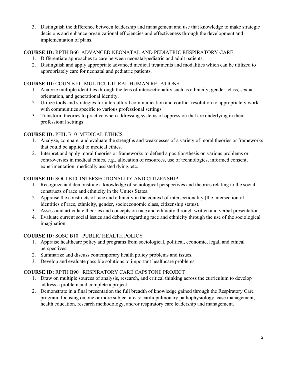3. Distinguish the difference between leadership and management and use that knowledge to make strategic decisions and enhance organizational efficiencies and effectiveness through the development and implementation of plans.

#### **COURSE ID:** RPTH B60 ADVANCED NEONATAL AND PEDIATRIC RESPIRATORY CARE

- 1. Differentiate approaches to care between neonatal/pediatric and adult patients.
- 2. Distinguish and apply appropriate advanced medical treatments and modalities which can be utilized to appropriately care for neonatal and pediatric patients.

#### **COURSE ID:** COUN B10 MULTICULTURAL HUMAN RELATIONS

- 1. Analyze multiple identities through the lens of intersectionality such as ethnicity, gender, class, sexual orientation, and generational identity.
- 2. Utilize tools and strategies for intercultural communication and conflict resolution to appropriately work with communities specific to various professional settings
- 3. Transform theories to practice when addressing systems of oppression that are underlying in their professional settings

#### **COURSE ID:** PHIL B10 MEDICAL ETHICS

- 1. Analyze, compare, and evaluate the strengths and weaknesses of a variety of moral theories or frameworks that could be applied to medical ethics.
- 2. Interpret and apply moral theories or frameworks to defend a position/thesis on various problems or controversies in medical ethics, e.g., allocation of resources, use of technologies, informed consent, experimentation, medically assisted dying, etc.

#### **COURSE ID:** SOCI B10 INTERSECTIONALITY AND CITIZENSHIP

- 1. Recognize and demonstrate a knowledge of sociological perspectives and theories relating to the social constructs of race and ethnicity in the Unites States.
- 2. Appraise the constructs of race and ethnicity in the context of intersectionality (the intersection of identities of race, ethnicity, gender, socioeconomic class, citizenship status).
- 3. Assess and articulate theories and concepts on race and ethnicity through written and verbal presentation.
- 4. Evaluate current social issues and debates regarding race and ethnicity through the use of the sociological imagination.

#### **COURSE ID:** SOSC B10 PUBLIC HEALTH POLICY

- 1. Appraise healthcare policy and programs from sociological, political, economic, legal, and ethical perspectives.
- 2. Summarize and discuss contemporary health policy problems and issues.
- 3. Develop and evaluate possible solutions to important healthcare problems.

#### **COURSE ID:** RPTH B90 RESPIRATORY CARE CAPSTONE PROJECT

- 1. Draw on multiple sources of analysis, research, and critical thinking across the curriculum to develop address a problem and complete a project.
- 2. Demonstrate in a final presentation the full breadth of knowledge gained through the Respiratory Care program, focusing on one or more subject areas: cardiopulmonary pathophysiology, case management, health education, research methodology, and/or respiratory care leadership and management.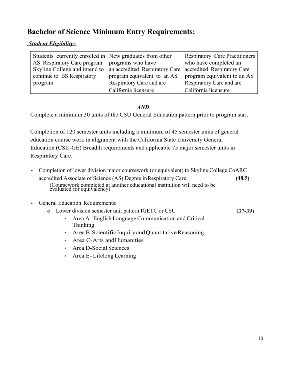# **Bachelor of Science Minimum Entry Requirements:**

#### *Student Eligibility:*

| Students currently enrolled in New graduates from other |                                                                | <b>Respiratory Care Practitioners</b> |
|---------------------------------------------------------|----------------------------------------------------------------|---------------------------------------|
| AS Respiratory Care program   programs who have         |                                                                | who have completed an                 |
|                                                         | Skyline College and intend to   an accredited Respiratory Care | accredited Respiratory Care           |
| continue to BS Respiratory                              | program equivalent to an AS                                    | program equivalent to an AS           |
| program                                                 | Respiratory Care and are                                       | Respiratory Care and are              |
|                                                         | California licensure                                           | California licensure                  |

#### *AND*

Complete a minimum 30 units of the CSU General Education pattern prior to program start

Completion of 120 semester units including a minimum of 45 semester units of general education course work in alignment with the California State University General Education (CSU-GE) Breadth requirements and applicable 75 major semester units in Respiratory Care.

- Completion of <u>lower division major coursework</u> (or equivalent) to Skyline College CoARC accredited Associate of Science (AS) Degree inRespiratory Care: **(48.5)** (Coursework completed at another educational institution will need to be evaluated for equivalency)
- General Education Requirements:
	- o Lower division semester unit pattern IGETC or CSU **(37-39)**
		- Area A -English Language Communication and Critical Thinking
		- Area B-Scientific Inquiry and Quantitative Reasoning
		- Area C-Arts andHumanities
		- Area D-Social Sciences
		- Area E- Lifelong Learning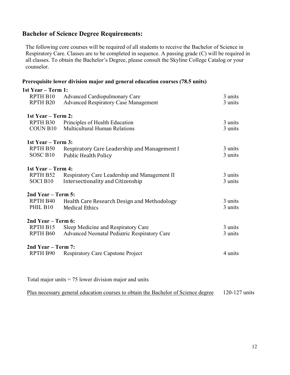#### **Bachelor of Science Degree Requirements:**

The following core courses will be required of all students to receive the Bachelor of Science in Respiratory Care. Classes are to be completed in sequence. A passing grade (C) will be required in all classes. To obtain the Bachelor's Degree, please consult the Skyline College Catalog or your counselor.

#### **Prerequisite lower division major and general education courses (78.5 units)**

| 1st Year – Term 1:   |                                               |         |  |  |
|----------------------|-----------------------------------------------|---------|--|--|
| RPTH B10             | <b>Advanced Cardiopulmonary Care</b>          | 3 units |  |  |
| RPTH <sub>B20</sub>  | <b>Advanced Respiratory Case Management</b>   | 3 units |  |  |
|                      |                                               |         |  |  |
| 1st Year – Term 2:   |                                               |         |  |  |
| RPTH B30             | Principles of Health Education                | 3 units |  |  |
| COUN B <sub>10</sub> | <b>Multicultural Human Relations</b>          | 3 units |  |  |
| 1st Year – Term 3:   |                                               |         |  |  |
| RPTH B50             | Respiratory Care Leadership and Management I  | 3 units |  |  |
| SOSC B10             | <b>Public Health Policy</b>                   | 3 units |  |  |
|                      |                                               |         |  |  |
| 1st Year – Term 4:   |                                               |         |  |  |
| RPTH B52             | Respiratory Care Leadership and Management II | 3 units |  |  |
| <b>SOCI B10</b>      | Intersectionality and Citizenship             | 3 units |  |  |
| 2nd Year – Term 5:   |                                               |         |  |  |
| RPTH B40             | Health Care Research Design and Methodology   | 3 units |  |  |
| PHIL B10             | <b>Medical Ethics</b>                         | 3 units |  |  |
|                      |                                               |         |  |  |
| 2nd Year – Term 6:   |                                               |         |  |  |
| RPTH B15             | Sleep Medicine and Respiratory Care           | 3 units |  |  |
| RPTH B60             | Advanced Neonatal Pediatric Respiratory Care  | 3 units |  |  |
| 2nd Year – Term 7:   |                                               |         |  |  |
| RPTH B90             | <b>Respiratory Care Capstone Project</b>      | 4 units |  |  |
|                      |                                               |         |  |  |

Total major units  $= 75$  lower division major and units

Plus necessary general education courses to obtain the Bachelor of Science degree 120-127 units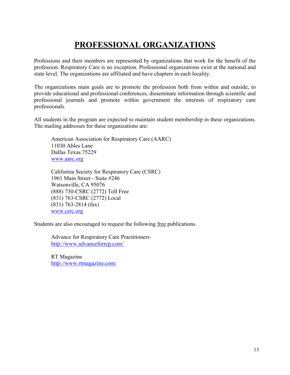# **PROFESSIONAL ORGANIZATIONS**

Professions and their members are represented by organizations that work for the benefit of the profession. Respiratory Care is no exception. Professional organizations exist at the national and state level. The organizations are affiliated and have chapters in each locality.

The organizations main goals are to promote the profession both from within and outside, to provide educational and professional conferences, disseminate information through scientific and professional journals and promote within government the interests of respiratory care professionals.

All students in the program are expected to maintain student membership in these organizations. The mailing addresses for these organizations are:

American Association for Respiratory Care (AARC) 11030 Ables Lane Dallas Texas 75229 [www.aarc.org](http://www.aarc.org/)

California Society for Respiratory Care (CSRC) 1961 Main Street - Suite #246 Watsonville, CA 95076 (888) 730-CSRC (2772) Toll Free (831) 763-CSRC (2772) Local (831) 763-2814 (fax) [www.csrc.org](http://www.csrc.org/)

Students are also encouraged to request the following free publications.

Advance for Respiratory Care Practitioners <http://www.advanceforrcp.com/>

RT Magazine <http://www.rtmagazine.com/>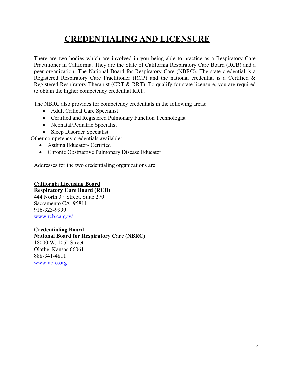# **CREDENTIALING AND LICENSURE**

There are two bodies which are involved in you being able to practice as a Respiratory Care Practitioner in California. They are the State of California Respiratory Care Board (RCB) and a peer organization, The National Board for Respiratory Care (NBRC). The state credential is a Registered Respiratory Care Practitioner (RCP) and the national credential is a Certified & Registered Respiratory Therapist (CRT & RRT). To qualify for state licensure, you are required to obtain the higher competency credential RRT.

The NBRC also provides for competency credentials in the following areas:

- Adult Critical Care Specialist
- Certified and Registered Pulmonary Function Technologist
- Neonatal/Pediatric Specialist
- Sleep Disorder Specialist

Other competency credentials available:

- Asthma Educator- Certified
- Chronic Obstructive Pulmonary Disease Educator

Addresses for the two credentialing organizations are:

#### **California Licensing Board**

**Respiratory Care Board (RCB)**  444 North 3rd Street, Suite 270 Sacramento CA. 95811 916-323-9999 [www.rcb.ca.gov/](http://www.rcb.ca.gov/)

#### **Credentialing Board**

#### **National Board for Respiratory Care (NBRC)** 18000 W. 105th Street

Olathe, Kansas 66061 888-341-4811 [www.nbrc.org](http://www.nbrc.org/)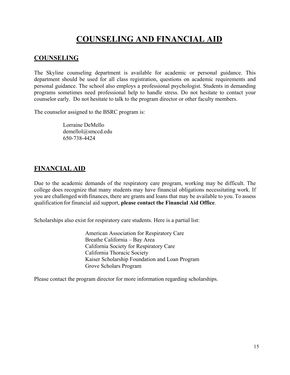# **COUNSELING AND FINANCIAL AID**

### **COUNSELING**

The Skyline counseling department is available for academic or personal guidance. This department should be used for all class registration, questions on academic requirements and personal guidance. The school also employs a professional psychologist. Students in demanding programs sometimes need professional help to handle stress. Do not hesitate to contact your counselor early. Do not hesitate to talk to the program director or other faculty members.

The counselor assigned to the BSRC program is:

Lorraine DeMello [demellol@smccd.edu](mailto:demellol@smccd.edu) 650-738-4424

### **FINANCIAL AID**

Due to the academic demands of the respiratory care program, working may be difficult. The college does recognize that many students may have financial obligations necessitating work. If you are challenged with finances, there are grants and loans that may be available to you. To assess qualification for financial aid support, **please contact the Financial Aid Office**.

Scholarships also exist for respiratory care students. Here is a partial list:

American Association for Respiratory Care Breathe California – Bay Area California Society for Respiratory Care California Thoracic Society Kaiser Scholarship Foundation and Loan Program Grove Scholars Program

Please contact the program director for more information regarding scholarships.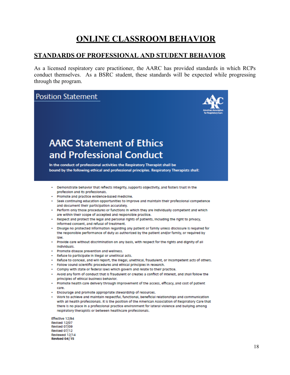# **ONLINE CLASSROOM BEHAVIOR**

#### **STANDARDS OF PROFESSIONAL AND STUDENT BEHAVIOR**

As a licensed respiratory care practitioner, the AARC has provided standards in which RCPs conduct themselves. As a BSRC student, these standards will be expected while progressing through the program.



- · Follow sound scientific procedures and ethical principles in research.
- Comply with state or federal laws which govern and relate to their practice.
- Avoid any form of conduct that is fraudulent or creates a conflict of interest, and shall follow the principles of ethical business behavior.
- Promote health care delivery through improvement of the access, efficacy, and cost of patient care.
- · Encourage and promote appropriate stewardship of resources.
- Work to achieve and maintain respectful, functional, beneficial relationships and communication with all health professionals. It is the position of the American Association of Respiratory Care that there is no place in a professional practice environment for lateral violence and builying among respiratory therapists or between healthcare professionals.

Effective 12/94 Revised 12/07 Revised 07/09 Revised 07/12 Reviewed 12/14 Revised 04/15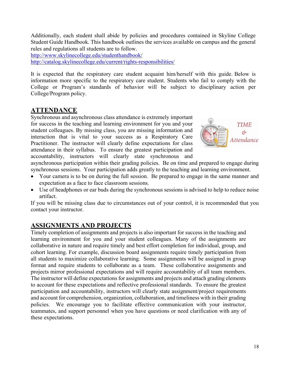Additionally, each student shall abide by policies and procedures contained in Skyline College Student Guide Handbook. This handbook outlines the services available on campus and the general rules and regulations all students are to follow.

<http://www.skylinecollege.edu/studenthandbook/> <http://catalog.skylinecollege.edu/current/rights-responsibilities/>

It is expected that the respiratory care student acquaint him/herself with this guide. Below is information more specific to the respiratory care student. Students who fail to comply with the College or Program's standards of behavior will be subject to disciplinary action per College/Program policy.

### **ATTENDANCE**

Synchronous and asynchronous class attendance is extremely important for success in the teaching and learning environment for you and your student colleagues. By missing class, you are missing information and interaction that is vital to your success as a Respiratory Care Practitioner. The instructor will clearly define expectations for class attendance in their syllabus. To ensure the greatest participation and accountability, instructors will clearly state synchronous and



asynchronous participation within their grading policies. Be on time and prepared to engage during synchronous sessions. Your participation adds greatly to the teaching and learning environment.

- Your camera is to be on during the full session. Be prepared to engage in the same manner and expectation as a face to face classroom sessions.
- Use of headphones or ear buds during the synchronous sessions is advised to help to reduce noise artifact.

If you will be missing class due to circumstances out of your control, it is recommended that you contact your instructor.

### **ASSIGNMENTS AND PROJECTS**

Timely completion of assignments and projects is also important for success in the teaching and learning environment for you and your student colleagues. Many of the assignments are collaborative in nature and require timely and best effort completion for individual, group, and cohort learning. For example, discussion board assignments require timely participation from all students to maximize collaborative learning. Some assignments will be assigned in group format and require students to collaborate as a team. These collaborative assignments and projects mirror professional expectations and will require accountability of all team members. The instructor will define expectations for assignments and projects and attach grading elements to account for these expectations and reflective professional standards. To ensure the greatest participation and accountability, instructors will clearly state assignment/project requirements and account for comprehension, organization, collaboration, and timeliness with in their grading policies. We encourage you to facilitate effective communication with your instructor, teammates, and support personnel when you have questions or need clarification with any of these expectations.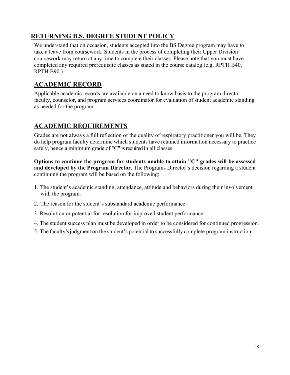### **RETURNING B.S. DEGREE STUDENT POLICY**

We understand that on occasion, students accepted into the BS Degree program may have to take a leave from coursework. Students in the process of completing their Upper Division coursework may return at any time to complete their classes. Please note that you must have completed any required prerequisite classes as stated in the course catalog (e.g. RPTH B40, RPTH B90.)

#### **ACADEMIC RECORD**

Applicable academic records are available on a need to know basis to the program director, faculty, counselor, and program services coordinator for evaluation of student academic standing as needed for the program.

### **ACADEMIC REQUIREMENTS**

Grades are not always a full reflection of the quality of respiratory practitioner you will be. They do help program faculty determine which students have retained information necessary to practice safely, hence a minimum grade of "C" is required in all classes.

**Options to continue the program for students unable to attain "C" grades will be assessed and developed by the Program Director**. The Programs Director's decision regarding a student continuing the program will be based on the following:

- 1. The student's academic standing, attendance, attitude and behaviors during their involvement with the program.
- 2. The reason for the student's substandard academic performance.
- 3. Resolution or potential for resolution for improved student performance.
- 4. The student success plan must be developed in order to be considered for continued progression.
- 5. The faculty's judgment on the student's potential to successfully complete program instruction.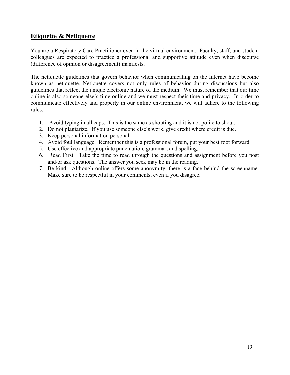### **Etiquette & Netiquette**

You are a Respiratory Care Practitioner even in the virtual environment. Faculty, staff, and student colleagues are expected to practice a professional and supportive attitude even when discourse (difference of opinion or disagreement) manifests.

The netiquette guidelines that govern behavior when communicating on the Internet have become known as netiquette. Netiquette covers not only rules of behavior during discussions but also guidelines that reflect the unique electronic nature of the medium. We must remember that our time online is also someone else's time online and we must respect their time and privacy. In order to communicate effectively and properly in our online environment, we will adhere to the following rules:

- 1. Avoid typing in all caps. This is the same as shouting and it is not polite to shout.
- 2. Do not plagiarize. If you use someone else's work, give credit where credit is due.
- 3. Keep personal information personal.
- 4. Avoid foul language. Remember this is a professional forum, put your best foot forward.
- 5. Use effective and appropriate punctuation, grammar, and spelling.
- 6. Read First. Take the time to read through the questions and assignment before you post and/or ask questions. The answer you seek may be in the reading.
- 7. Be kind. Although online offers some anonymity, there is a face behind the screenname. Make sure to be respectful in your comments, even if you disagree.